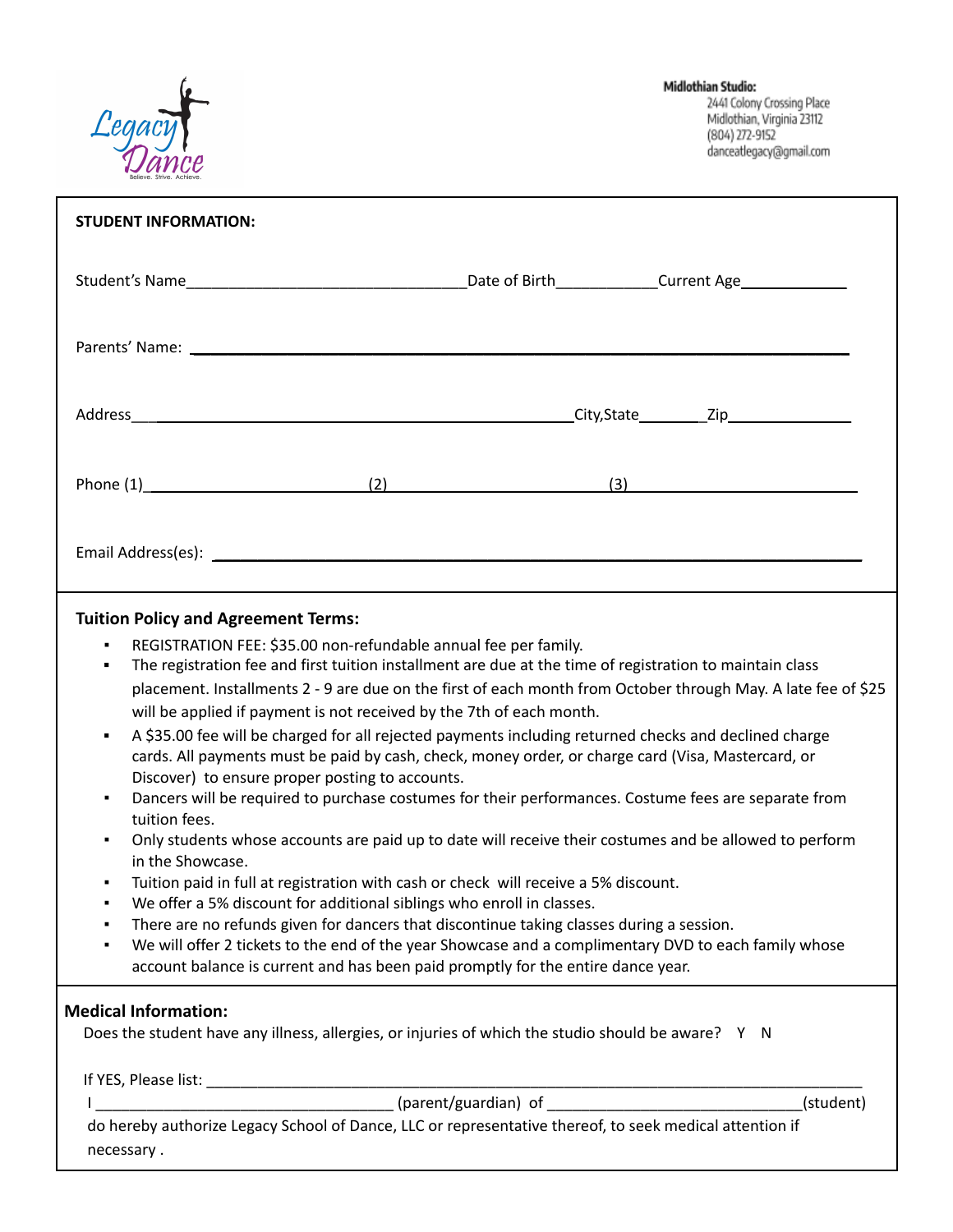

| <b>STUDENT INFORMATION:</b>                                                                                                                                                                                                                                                                                                                                                                                                                                                                                                                                                                                                                                                                                                                                                                                                                                                                                                                                                                                                                                                                                                                                                                                                                                                                                                                                                                                                                                                   |
|-------------------------------------------------------------------------------------------------------------------------------------------------------------------------------------------------------------------------------------------------------------------------------------------------------------------------------------------------------------------------------------------------------------------------------------------------------------------------------------------------------------------------------------------------------------------------------------------------------------------------------------------------------------------------------------------------------------------------------------------------------------------------------------------------------------------------------------------------------------------------------------------------------------------------------------------------------------------------------------------------------------------------------------------------------------------------------------------------------------------------------------------------------------------------------------------------------------------------------------------------------------------------------------------------------------------------------------------------------------------------------------------------------------------------------------------------------------------------------|
|                                                                                                                                                                                                                                                                                                                                                                                                                                                                                                                                                                                                                                                                                                                                                                                                                                                                                                                                                                                                                                                                                                                                                                                                                                                                                                                                                                                                                                                                               |
|                                                                                                                                                                                                                                                                                                                                                                                                                                                                                                                                                                                                                                                                                                                                                                                                                                                                                                                                                                                                                                                                                                                                                                                                                                                                                                                                                                                                                                                                               |
| Address City, State Zip                                                                                                                                                                                                                                                                                                                                                                                                                                                                                                                                                                                                                                                                                                                                                                                                                                                                                                                                                                                                                                                                                                                                                                                                                                                                                                                                                                                                                                                       |
| (3)                                                                                                                                                                                                                                                                                                                                                                                                                                                                                                                                                                                                                                                                                                                                                                                                                                                                                                                                                                                                                                                                                                                                                                                                                                                                                                                                                                                                                                                                           |
|                                                                                                                                                                                                                                                                                                                                                                                                                                                                                                                                                                                                                                                                                                                                                                                                                                                                                                                                                                                                                                                                                                                                                                                                                                                                                                                                                                                                                                                                               |
| <b>Tuition Policy and Agreement Terms:</b><br>REGISTRATION FEE: \$35.00 non-refundable annual fee per family.<br>$\blacksquare$<br>The registration fee and first tuition installment are due at the time of registration to maintain class<br>٠<br>placement. Installments 2 - 9 are due on the first of each month from October through May. A late fee of \$25<br>will be applied if payment is not received by the 7th of each month.<br>A \$35.00 fee will be charged for all rejected payments including returned checks and declined charge<br>٠<br>cards. All payments must be paid by cash, check, money order, or charge card (Visa, Mastercard, or<br>Discover) to ensure proper posting to accounts.<br>Dancers will be required to purchase costumes for their performances. Costume fees are separate from<br>٠<br>tuition fees.<br>Only students whose accounts are paid up to date will receive their costumes and be allowed to perform<br>in the Showcase.<br>Tuition paid in full at registration with cash or check will receive a 5% discount.<br>٠<br>We offer a 5% discount for additional siblings who enroll in classes.<br>٠<br>There are no refunds given for dancers that discontinue taking classes during a session.<br>We will offer 2 tickets to the end of the year Showcase and a complimentary DVD to each family whose<br>account balance is current and has been paid promptly for the entire dance year.<br><b>Medical Information:</b> |
| Does the student have any illness, allergies, or injuries of which the studio should be aware? Y N                                                                                                                                                                                                                                                                                                                                                                                                                                                                                                                                                                                                                                                                                                                                                                                                                                                                                                                                                                                                                                                                                                                                                                                                                                                                                                                                                                            |
| (student)                                                                                                                                                                                                                                                                                                                                                                                                                                                                                                                                                                                                                                                                                                                                                                                                                                                                                                                                                                                                                                                                                                                                                                                                                                                                                                                                                                                                                                                                     |
| do hereby authorize Legacy School of Dance, LLC or representative thereof, to seek medical attention if<br>necessary.                                                                                                                                                                                                                                                                                                                                                                                                                                                                                                                                                                                                                                                                                                                                                                                                                                                                                                                                                                                                                                                                                                                                                                                                                                                                                                                                                         |